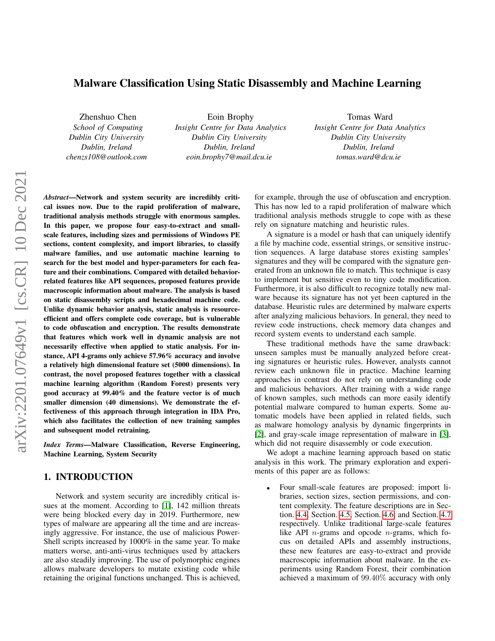# Malware Classification Using Static Disassembly and Machine Learning

Zhenshuo Chen *School of Computing Dublin City University Dublin, Ireland chenzs108@outlook.com*

Eoin Brophy *Insight Centre for Data Analytics Dublin City University Dublin, Ireland eoin.brophy7@mail.dcu.ie*

Tomas Ward *Insight Centre for Data Analytics Dublin City University Dublin, Ireland tomas.ward@dcu.ie*

*Abstract*—Network and system security are incredibly critical issues now. Due to the rapid proliferation of malware, traditional analysis methods struggle with enormous samples. In this paper, we propose four easy-to-extract and smallscale features, including sizes and permissions of Windows PE sections, content complexity, and import libraries, to classify malware families, and use automatic machine learning to search for the best model and hyper-parameters for each feature and their combinations. Compared with detailed behaviorrelated features like API sequences, proposed features provide macroscopic information about malware. The analysis is based on static disassembly scripts and hexadecimal machine code. Unlike dynamic behavior analysis, static analysis is resourceefficient and offers complete code coverage, but is vulnerable to code obfuscation and encryption. The results demonstrate that features which work well in dynamic analysis are not necessarily effective when applied to static analysis. For instance, API 4-grams only achieve 57.96% accuracy and involve a relatively high dimensional feature set (5000 dimensions). In contrast, the novel proposed features together with a classical machine learning algorithm (Random Forest) presents very good accuracy at 99.40% and the feature vector is of much smaller dimension (40 dimensions). We demonstrate the effectiveness of this approach through integration in IDA Pro, which also facilitates the collection of new training samples and subsequent model retraining.

*Index Terms*—Malware Classification, Reverse Engineering, Machine Learning, System Security

# 1. INTRODUCTION

Network and system security are incredibly critical issues at the moment. According to [\[1\]](#page-8-0), 142 million threats were being blocked every day in 2019. Furthermore, new types of malware are appearing all the time and are increasingly aggressive. For instance, the use of malicious Power-Shell scripts increased by 1000% in the same year. To make matters worse, anti-anti-virus techniques used by attackers are also steadily improving. The use of polymorphic engines allows malware developers to mutate existing code while retaining the original functions unchanged. This is achieved, for example, through the use of obfuscation and encryption. This has now led to a rapid proliferation of malware which traditional analysis methods struggle to cope with as these rely on signature matching and heuristic rules.

A signature is a model or hash that can uniquely identify a file by machine code, essential strings, or sensitive instruction sequences. A large database stores existing samples' signatures and they will be compared with the signature generated from an unknown file to match. This technique is easy to implement but sensitive even to tiny code modification. Furthermore, it is also difficult to recognize totally new malware because its signature has not yet been captured in the database. Heuristic rules are determined by malware experts after analyzing malicious behaviors. In general, they need to review code instructions, check memory data changes and record system events to understand each sample.

These traditional methods have the same drawback: unseen samples must be manually analyzed before creating signatures or heuristic rules. However, analysts cannot review each unknown file in practice. Machine learning approaches in contrast do not rely on understanding code and malicious behaviors. After training with a wide range of known samples, such methods can more easily identify potential malware compared to human experts. Some automatic models have been applied in related fields, such as malware homology analysis by dynamic fingerprints in [\[2\]](#page-8-1), and gray-scale image representation of malware in [\[3\]](#page-8-2), which did not require disassembly or code execution.

We adopt a machine learning approach based on static analysis in this work. The primary exploration and experiments of this paper are as follows:

• Four small-scale features are proposed: import libraries, section sizes, section permissions, and content complexity. The feature descriptions are in Section. [4.4,](#page-4-0) Section. [4.5,](#page-4-1) Section. [4.6,](#page-4-2) and Section. [4.7](#page-5-0) respectively. Unlike traditional large-scale features like API  $n$ -grams and opcode  $n$ -grams, which focus on detailed APIs and assembly instructions, these new features are easy-to-extract and provide macroscopic information about malware. In the experiments using Random Forest, their combination achieved a maximum of 99.40% accuracy with only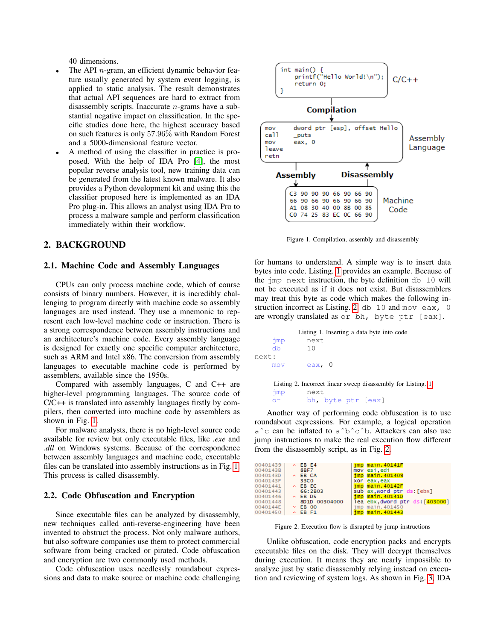40 dimensions.

- The API  $n$ -gram, an efficient dynamic behavior feature usually generated by system event logging, is applied to static analysis. The result demonstrates that actual API sequences are hard to extract from disassembly scripts. Inaccurate  $n$ -grams have a substantial negative impact on classification. In the specific studies done here, the highest accuracy based on such features is only 57.96% with Random Forest and a 5000-dimensional feature vector.
- A method of using the classifier in practice is proposed. With the help of IDA Pro [\[4\]](#page-8-3), the most popular reverse analysis tool, new training data can be generated from the latest known malware. It also provides a Python development kit and using this the classifier proposed here is implemented as an IDA Pro plug-in. This allows an analyst using IDA Pro to process a malware sample and perform classification immediately within their workflow.

# 2. BACKGROUND

### 2.1. Machine Code and Assembly Languages

CPUs can only process machine code, which of course consists of binary numbers. However, it is incredibly challenging to program directly with machine code so assembly languages are used instead. They use a mnemonic to represent each low-level machine code or instruction. There is a strong correspondence between assembly instructions and an architecture's machine code. Every assembly language is designed for exactly one specific computer architecture, such as ARM and Intel x86. The conversion from assembly languages to executable machine code is performed by assemblers, available since the 1950s.

Compared with assembly languages, C and C++ are higher-level programming languages. The source code of C/C++ is translated into assembly languages firstly by compilers, then converted into machine code by assemblers as shown in Fig. [1.](#page-1-0)

For malware analysts, there is no high-level source code available for review but only executable files, like *.exe* and *.dll* on Windows systems. Because of the correspondence between assembly languages and machine code, executable files can be translated into assembly instructions as in Fig. [1.](#page-1-0) This process is called disassembly.

### 2.2. Code Obfuscation and Encryption

Since executable files can be analyzed by disassembly, new techniques called anti-reverse-engineering have been invented to obstruct the process. Not only malware authors, but also software companies use them to protect commercial software from being cracked or pirated. Code obfuscation and encryption are two commonly used methods.

Code obfuscation uses needlessly roundabout expressions and data to make source or machine code challenging



<span id="page-1-0"></span>Figure 1. Compilation, assembly and disassembly

for humans to understand. A simple way is to insert data bytes into code. Listing. [1](#page-1-1) provides an example. Because of the jmp next instruction, the byte definition db 10 will not be executed as if it does not exist. But disassemblers may treat this byte as code which makes the following in-struction incorrect as Listing. [2.](#page-1-2) db  $10$  and mov eax, 0 are wrongly translated as or bh, byte ptr [eax].

<span id="page-1-1"></span>

<span id="page-1-2"></span>Listing 2. Incorrect linear sweep disassembly for Listing. [1](#page-1-1) jmp next or bh, byte ptr [eax]

Another way of performing code obfuscation is to use roundabout expressions. For example, a logical operation aˆc can be inflated to aˆbˆcˆb. Attackers can also use jump instructions to make the real execution flow different from the disassembly script, as in Fig. [2.](#page-1-3)

| 00401439 | $\land$ EB E4  | imp main.40141F                |
|----------|----------------|--------------------------------|
| 0040143B | <b>8BF7</b>    | mov esi,edi                    |
| 0040143D | $\land$ EB CA  | jmp main.401409                |
| 0040143F | 33CO           | xor eax eax                    |
| 00401441 | $\land$ EB EC  | $imp$ main. $40142F$           |
| 00401443 | 66:2B03        | sub ax word ptr ds: [ebx]      |
| 00401446 | $\land$ EB D5  | imp main.40141D                |
| 00401448 | 8D1D 00304000  | lea ebx dword ptr ds: [403000] |
| 0040144E | $\times$ EB 00 | jmp main.401450                |
| 00401450 | $\land$ EB F1  | imp main.401443                |
|          |                |                                |

<span id="page-1-3"></span>Figure 2. Execution flow is disrupted by jump instructions

Unlike obfuscation, code encryption packs and encrypts executable files on the disk. They will decrypt themselves during execution. It means they are nearly impossible to analyze just by static disassembly relying instead on execution and reviewing of system logs. As shown in Fig. [3,](#page-2-0) IDA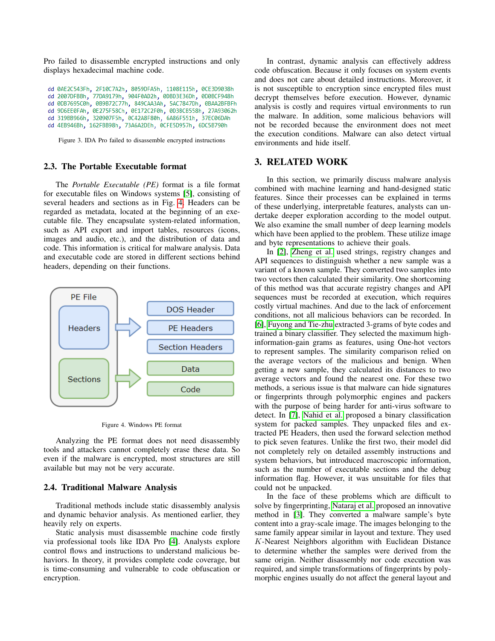Pro failed to disassemble encrypted instructions and only displays hexadecimal machine code.

dd 0AE2C543Fh, 2F10C7A2h, 8059DFA5h, 1108E115h, 0CE3D9038h dd 2007DFBBh, 77DA9179h, 904F0AD2h, 0DBD3E36Dh, 0D0BCF948h dd 0DB7695C0h, 0B9B72C77h, 849CAA3Ah, 5AC7847Dh, 0BAA2BFBFh dd 9D6EE0FAh, 0E275F58Ch, 0E172C2F0h, 0D3BCB558h, 27A93062h dd 319BB966h, 320907F5h, 0C42A8F80h, 6A86F551h, 37EC06DAh dd 4EB946Bh, 162FBB98h, 73A6A2DEh, 0CFE5D957h, 6DC5B790h

<span id="page-2-0"></span>Figure 3. IDA Pro failed to disassemble encrypted instructions

### 2.3. The Portable Executable format

The *Portable Executable (PE)* format is a file format for executable files on Windows systems [\[5\]](#page-8-4), consisting of several headers and sections as in Fig. [4.](#page-2-1) Headers can be regarded as metadata, located at the beginning of an executable file. They encapsulate system-related information, such as API export and import tables, resources (icons, images and audio, etc.), and the distribution of data and code. This information is critical for malware analysis. Data and executable code are stored in different sections behind headers, depending on their functions.



<span id="page-2-1"></span>Figure 4. Windows PE format

Analyzing the PE format does not need disassembly tools and attackers cannot completely erase these data. So even if the malware is encrypted, most structures are still available but may not be very accurate.

#### 2.4. Traditional Malware Analysis

Traditional methods include static disassembly analysis and dynamic behavior analysis. As mentioned earlier, they heavily rely on experts.

Static analysis must disassemble machine code firstly via professional tools like IDA Pro [\[4\]](#page-8-3). Analysts explore control flows and instructions to understand malicious behaviors. In theory, it provides complete code coverage, but is time-consuming and vulnerable to code obfuscation or encryption.

In contrast, dynamic analysis can effectively address code obfuscation. Because it only focuses on system events and does not care about detailed instructions. Moreover, it is not susceptible to encryption since encrypted files must decrypt themselves before execution. However, dynamic analysis is costly and requires virtual environments to run the malware. In addition, some malicious behaviors will not be recorded because the environment does not meet the execution conditions. Malware can also detect virtual environments and hide itself.

## 3. RELATED WORK

In this section, we primarily discuss malware analysis combined with machine learning and hand-designed static features. Since their processes can be explained in terms of these underlying, interpretable features, analysts can undertake deeper exploration according to the model output. We also examine the small number of deep learning models which have been applied to the problem. These utilize image and byte representations to achieve their goals.

In [\[2\]](#page-8-1), [Zheng et al.](#page-8-1) used strings, registry changes and API sequences to distinguish whether a new sample was a variant of a known sample. They converted two samples into two vectors then calculated their similarity. One shortcoming of this method was that accurate registry changes and API sequences must be recorded at execution, which requires costly virtual machines. And due to the lack of enforcement conditions, not all malicious behaviors can be recorded. In [\[6\]](#page-8-5), [Fuyong and Tie-zhu](#page-8-5) extracted 3-grams of byte codes and trained a binary classifier. They selected the maximum highinformation-gain grams as features, using One-hot vectors to represent samples. The similarity comparison relied on the average vectors of the malicious and benign. When getting a new sample, they calculated its distances to two average vectors and found the nearest one. For these two methods, a serious issue is that malware can hide signatures or fingerprints through polymorphic engines and packers with the purpose of being harder for anti-virus software to detect. In [\[7\]](#page-8-6), [Nahid et al.](#page-8-6) proposed a binary classification system for packed samples. They unpacked files and extracted PE Headers, then used the forward selection method to pick seven features. Unlike the first two, their model did not completely rely on detailed assembly instructions and system behaviors, but introduced macroscopic information, such as the number of executable sections and the debug information flag. However, it was unsuitable for files that could not be unpacked.

In the face of these problems which are difficult to solve by fingerprinting, [Nataraj et al.](#page-8-2) proposed an innovative method in [\[3\]](#page-8-2). They converted a malware sample's byte content into a gray-scale image. The images belonging to the same family appear similar in layout and texture. They used K-Nearest Neighbors algorithm with Euclidean Distance to determine whether the samples were derived from the same origin. Neither disassembly nor code execution was required, and simple transformations of fingerprints by polymorphic engines usually do not affect the general layout and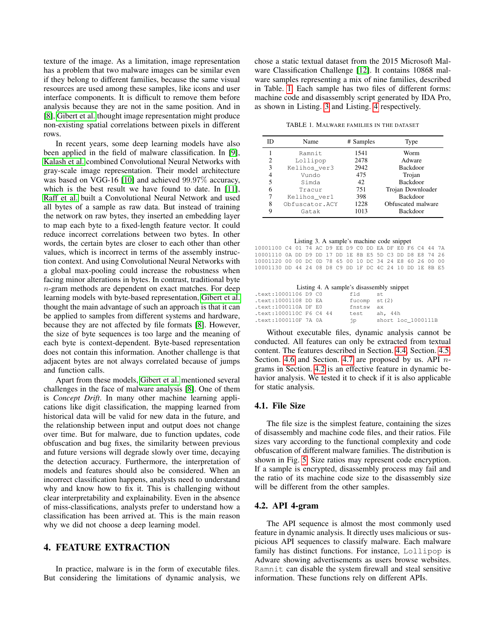texture of the image. As a limitation, image representation has a problem that two malware images can be similar even if they belong to different families, because the same visual resources are used among these samples, like icons and user interface components. It is difficult to remove them before analysis because they are not in the same position. And in [\[8\]](#page-8-7), [Gibert et al.](#page-8-7) thought image representation might produce non-existing spatial correlations between pixels in different rows.

In recent years, some deep learning models have also been applied in the field of malware classification. In [\[9\]](#page-8-8), [Kalash et al.](#page-8-8) combined Convolutional Neural Networks with gray-scale image representation. Their model architecture was based on VGG-16 [\[10\]](#page-8-9) and achieved 99.97% accuracy, which is the best result we have found to date. In [\[11\]](#page-8-10), [Raff et al.](#page-8-10) built a Convolutional Neural Network and used all bytes of a sample as raw data. But instead of training the network on raw bytes, they inserted an embedding layer to map each byte to a fixed-length feature vector. It could reduce incorrect correlations between two bytes. In other words, the certain bytes are closer to each other than other values, which is incorrect in terms of the assembly instruction context. And using Convolutional Neural Networks with a global max-pooling could increase the robustness when facing minor alterations in bytes. In contrast, traditional byte n-gram methods are dependent on exact matches. For deep learning models with byte-based representation, [Gibert et al.](#page-8-7) thought the main advantage of such an approach is that it can be applied to samples from different systems and hardware, because they are not affected by file formats [\[8\]](#page-8-7). However, the size of byte sequences is too large and the meaning of each byte is context-dependent. Byte-based representation does not contain this information. Another challenge is that adjacent bytes are not always correlated because of jumps and function calls.

Apart from these models, [Gibert et al.](#page-8-7) mentioned several challenges in the face of malware analysis [\[8\]](#page-8-7). One of them is *Concept Drift*. In many other machine learning applications like digit classification, the mapping learned from historical data will be valid for new data in the future, and the relationship between input and output does not change over time. But for malware, due to function updates, code obfuscation and bug fixes, the similarity between previous and future versions will degrade slowly over time, decaying the detection accuracy. Furthermore, the interpretation of models and features should also be considered. When an incorrect classification happens, analysts need to understand why and know how to fix it. This is challenging without clear interpretability and explainability. Even in the absence of miss-classifications, analysts prefer to understand how a classification has been arrived at. This is the main reason why we did not choose a deep learning model.

# 4. FEATURE EXTRACTION

In practice, malware is in the form of executable files. But considering the limitations of dynamic analysis, we chose a static textual dataset from the 2015 Microsoft Malware Classification Challenge [\[12\]](#page-8-11). It contains 10868 malware samples representing a mix of nine families, described in Table. [1.](#page-3-0) Each sample has two files of different forms: machine code and disassembly script generated by IDA Pro, as shown in Listing. [3](#page-3-1) and Listing. [4](#page-3-2) respectively.

<span id="page-3-0"></span>TABLE 1. MALWARE FAMILIES IN THE DATASET

| ID | Name           | # Samples | Type               |
|----|----------------|-----------|--------------------|
|    | Ramnit         | 1541      | Worm               |
| 2  | Lollipop       | 2478      | Adware             |
| 3  | Kelihos_ver3   | 2942      | <b>Backdoor</b>    |
| 4  | Vundo          | 475       | Trojan             |
| 5  | Simda          | 42        | <b>Backdoor</b>    |
| 6  | Tracur         | 751       | Trojan Downloader  |
|    | Kelihos_ver1   | 398       | <b>Backdoor</b>    |
| 8  | Obfuscator.ACY | 1228      | Obfuscated malware |
| 9  | Gatak          | 1013      | Backdoor           |

#### Listing 3. A sample's machine code snippet

<span id="page-3-1"></span>10001100 C4 01 74 AC D9 EE D9 C0 DD EA DF E0 F6 C4 44 7A 10001110 0A DD D9 DD 17 DD 1E 8B E5 5D C3 DD D8 E8 74 26 10001120 00 00 DC 0D 78 65 00 10 DC 34 24 E8 60 26 00 00 10001130 DD 44 24 08 D8 C9 DD 1F DC 4C 24 10 DD 1E 8B E5

|  | Listing 4. A sample's disassembly snippet |  |
|--|-------------------------------------------|--|
|  |                                           |  |

<span id="page-3-2"></span>

| .text:10001106 D9 C0    |  | fid            | st.                |
|-------------------------|--|----------------|--------------------|
| .text:10001108 DD EA    |  | fucomp $st(2)$ |                    |
| .text:1000110A DF E0    |  | fnstsw ax      |                    |
| text:1000110C F6 C4 44. |  | test           | ah. 44h            |
| .text:1000110F 7A 0A    |  | ήp.            | short loc 1000111B |

Without executable files, dynamic analysis cannot be conducted. All features can only be extracted from textual content. The features described in Section. [4.4,](#page-4-0) Section. [4.5,](#page-4-1) Section. [4.6](#page-4-2) and Section. [4.7](#page-5-0) are proposed by us. API  $n$ grams in Section. [4.2](#page-3-3) is an effective feature in dynamic behavior analysis. We tested it to check if it is also applicable for static analysis.

#### 4.1. File Size

The file size is the simplest feature, containing the sizes of disassembly and machine code files, and their ratios. File sizes vary according to the functional complexity and code obfuscation of different malware families. The distribution is shown in Fig. [5.](#page-4-3) Size ratios may represent code encryption. If a sample is encrypted, disassembly process may fail and the ratio of its machine code size to the disassembly size will be different from the other samples.

#### <span id="page-3-3"></span>4.2. API 4-gram

The API sequence is almost the most commonly used feature in dynamic analysis. It directly uses malicious or suspicious API sequences to classify malware. Each malware family has distinct functions. For instance, Lollipop is Adware showing advertisements as users browse websites. Ramnit can disable the system firewall and steal sensitive information. These functions rely on different APIs.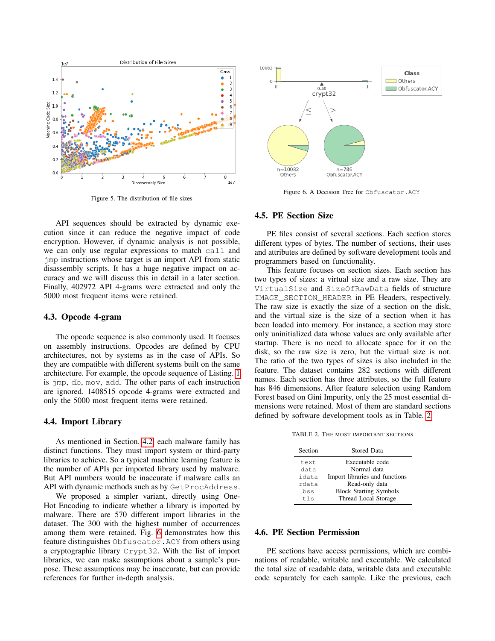

<span id="page-4-3"></span>Figure 5. The distribution of file sizes

API sequences should be extracted by dynamic execution since it can reduce the negative impact of code encryption. However, if dynamic analysis is not possible, we can only use regular expressions to match call and jmp instructions whose target is an import API from static disassembly scripts. It has a huge negative impact on accuracy and we will discuss this in detail in a later section. Finally, 402972 API 4-grams were extracted and only the 5000 most frequent items were retained.

#### 4.3. Opcode 4-gram

The opcode sequence is also commonly used. It focuses on assembly instructions. Opcodes are defined by CPU architectures, not by systems as in the case of APIs. So they are compatible with different systems built on the same architecture. For example, the opcode sequence of Listing. [1](#page-1-1) is jmp, db, mov, add. The other parts of each instruction are ignored. 1408515 opcode 4-grams were extracted and only the 5000 most frequent items were retained.

#### <span id="page-4-0"></span>4.4. Import Library

As mentioned in Section. [4.2,](#page-3-3) each malware family has distinct functions. They must import system or third-party libraries to achieve. So a typical machine learning feature is the number of APIs per imported library used by malware. But API numbers would be inaccurate if malware calls an API with dynamic methods such as by GetProcAddress.

We proposed a simpler variant, directly using One-Hot Encoding to indicate whether a library is imported by malware. There are 570 different import libraries in the dataset. The 300 with the highest number of occurrences among them were retained. Fig. [6](#page-4-4) demonstrates how this feature distinguishes Obfuscator.ACY from others using a cryptographic library Crypt32. With the list of import libraries, we can make assumptions about a sample's purpose. These assumptions may be inaccurate, but can provide references for further in-depth analysis.



<span id="page-4-4"></span>Figure 6. A Decision Tree for Obfuscator.ACY

#### <span id="page-4-1"></span>4.5. PE Section Size

PE files consist of several sections. Each section stores different types of bytes. The number of sections, their uses and attributes are defined by software development tools and programmers based on functionality.

This feature focuses on section sizes. Each section has two types of sizes: a virtual size and a raw size. They are VirtualSize and SizeOfRawData fields of structure IMAGE\_SECTION\_HEADER in PE Headers, respectively. The raw size is exactly the size of a section on the disk, and the virtual size is the size of a section when it has been loaded into memory. For instance, a section may store only uninitialized data whose values are only available after startup. There is no need to allocate space for it on the disk, so the raw size is zero, but the virtual size is not. The ratio of the two types of sizes is also included in the feature. The dataset contains 282 sections with different names. Each section has three attributes, so the full feature has 846 dimensions. After feature selection using Random Forest based on Gini Impurity, only the 25 most essential dimensions were retained. Most of them are standard sections defined by software development tools as in Table. [2.](#page-4-5)

TABLE 2. THE MOST IMPORTANT SECTIONS

<span id="page-4-5"></span>

| <b>Stored Data</b>             |
|--------------------------------|
| Executable code                |
| Normal data                    |
| Import libraries and functions |
| Read-only data                 |
| <b>Block Starting Symbols</b>  |
| Thread Local Storage           |
|                                |

### <span id="page-4-2"></span>4.6. PE Section Permission

PE sections have access permissions, which are combinations of readable, writable and executable. We calculated the total size of readable data, writable data and executable code separately for each sample. Like the previous, each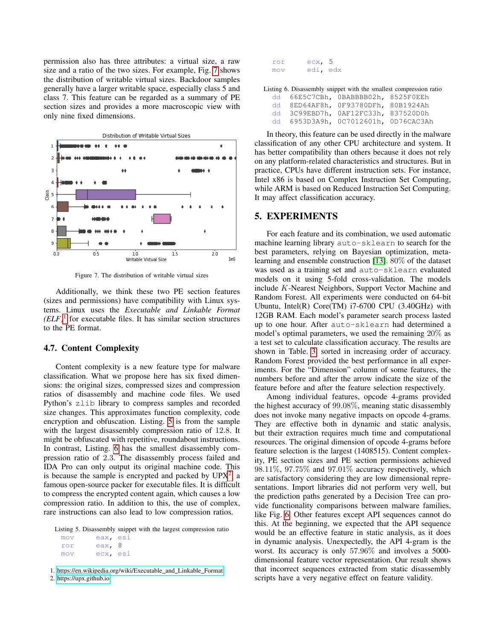permission also has three attributes: a virtual size, a raw size and a ratio of the two sizes. For example, Fig. [7](#page-5-1) shows the distribution of writable virtual sizes. Backdoor samples generally have a larger writable space, especially class 5 and class 7. This feature can be regarded as a summary of PE section sizes and provides a more macroscopic view with only nine fixed dimensions.



<span id="page-5-1"></span>Figure 7. The distribution of writable virtual sizes

Additionally, we think these two PE section features (sizes and permissions) have compatibility with Linux systems. Linux uses the *Executable and Linkable Format*  $(ELF)^1$  $(ELF)^1$  for executable files. It has similar section structures to the PE format.

### <span id="page-5-0"></span>4.7. Content Complexity

Content complexity is a new feature type for malware classification. What we propose here has six fixed dimensions: the original sizes, compressed sizes and compression ratios of disassembly and machine code files. We used Python's zlib library to compress samples and recorded size changes. This approximates function complexity, code encryption and obfuscation. Listing. [5](#page-5-3) is from the sample with the largest disassembly compression ratio of 12.8. It might be obfuscated with repetitive, roundabout instructions. In contrast, Listing. [6](#page-5-4) has the smallest disassembly compression ratio of 2.3. The disassembly process failed and IDA Pro can only output its original machine code. This is because the sample is encrypted and packed by  $UPX<sup>2</sup>$  $UPX<sup>2</sup>$  $UPX<sup>2</sup>$ , a famous open-source packer for executable files. It is difficult to compress the encrypted content again, which causes a low compression ratio. In addition to this, the use of complex, rare instructions can also lead to low compression ratios.

<span id="page-5-3"></span>Listing 5. Disassembly snippet with the largest compression ratio

| mov | eax, esi |  |
|-----|----------|--|
| ror | eax, 8   |  |
| mov | ecx, esi |  |

<span id="page-5-2"></span>1. [https://en.wikipedia.org/wiki/Executable](https://en.wikipedia.org/wiki/Executable_and_Linkable_Format) and Linkable Format

<span id="page-5-5"></span>2.<https://upx.github.io>

| ror | ecx, 5   |  |
|-----|----------|--|
| mov | edi, edx |  |

<span id="page-5-4"></span>Listing 6. Disassembly snippet with the smallest compression ratio

|  | dd 66E5C7CBh, OBABBBB02h, 8525F0EEh  |  |
|--|--------------------------------------|--|
|  | dd 8ED64AF8h, 0F93780DFh, 80B1924Ah  |  |
|  | dd 3C99EBD7h, 0AF12FC33h, 837520D0h  |  |
|  | dd 6953D3A9h, 0C7012601h, 0D76CAC3Ah |  |

In theory, this feature can be used directly in the malware classification of any other CPU architecture and system. It has better compatibility than others because it does not rely on any platform-related characteristics and structures. But in practice, CPUs have different instruction sets. For instance, Intel x86 is based on Complex Instruction Set Computing, while ARM is based on Reduced Instruction Set Computing. It may affect classification accuracy.

### 5. EXPERIMENTS

For each feature and its combination, we used automatic machine learning library auto-sklearn to search for the best parameters, relying on Bayesian optimization, metalearning and ensemble construction [\[13\]](#page-8-12). 80% of the dataset was used as a training set and auto-sklearn evaluated models on it using 5-fold cross-validation. The models include K-Nearest Neighbors, Support Vector Machine and Random Forest. All experiments were conducted on 64-bit Ubuntu, Intel(R) Core(TM) i7-6700 CPU (3.40GHz) with 12GB RAM. Each model's parameter search process lasted up to one hour. After auto-sklearn had determined a model's optimal parameters, we used the remaining 20% as a test set to calculate classification accuracy. The results are shown in Table. [3,](#page-6-0) sorted in increasing order of accuracy. Random Forest provided the best performance in all experiments. For the "Dimension" column of some features, the numbers before and after the arrow indicate the size of the feature before and after the feature selection respectively.

Among individual features, opcode 4-grams provided the highest accuracy of 99.08%, meaning static disassembly does not invoke many negative impacts on opcode 4-grams. They are effective both in dynamic and static analysis, but their extraction requires much time and computational resources. The original dimension of opcode 4-grams before feature selection is the largest (1408515). Content complexity, PE section sizes and PE section permissions achieved 98.11%, 97.75% and 97.01% accuracy respectively, which are satisfactory considering they are low dimensional representations. Import libraries did not perform very well, but the prediction paths generated by a Decision Tree can provide functionality comparisons between malware families, like Fig. [6.](#page-4-4) Other features except API sequences cannot do this. At the beginning, we expected that the API sequence would be an effective feature in static analysis, as it does in dynamic analysis. Unexpectedly, the API 4-gram is the worst. Its accuracy is only 57.96% and involves a 5000 dimensional feature vector representation. Our result shows that incorrect sequences extracted from static disassembly scripts have a very negative effect on feature validity.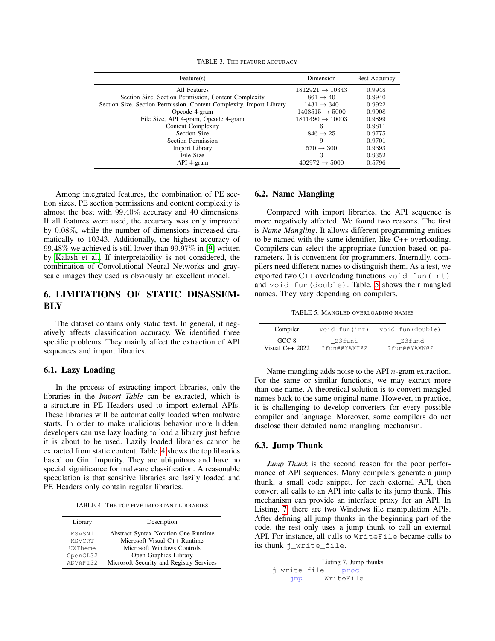<span id="page-6-0"></span>

|  |  |  | TABLE 3. THE FEATURE ACCURACY |
|--|--|--|-------------------------------|
|--|--|--|-------------------------------|

| Feature(s)                                                           | Dimension                   | <b>Best Accuracy</b> |
|----------------------------------------------------------------------|-----------------------------|----------------------|
| All Features                                                         | $1812921 \rightarrow 10343$ | 0.9948               |
| Section Size, Section Permission, Content Complexity                 | $861 \rightarrow 40$        | 0.9940               |
| Section Size, Section Permission, Content Complexity, Import Library | $1431 \rightarrow 340$      | 0.9922               |
| Opcode 4-gram                                                        | $1408515 \rightarrow 5000$  | 0.9908               |
| File Size, API 4-gram, Opcode 4-gram                                 | $1811490 \rightarrow 10003$ | 0.9899               |
| Content Complexity                                                   | 6                           | 0.9811               |
| Section Size                                                         | $846 \rightarrow 25$        | 0.9775               |
| Section Permission                                                   | 9                           | 0.9701               |
| <b>Import Library</b>                                                | $570 \rightarrow 300$       | 0.9393               |
| File Size                                                            | З                           | 0.9352               |
| API 4-gram                                                           | $402972 \rightarrow 5000$   | 0.5796               |

Among integrated features, the combination of PE section sizes, PE section permissions and content complexity is almost the best with 99.40% accuracy and 40 dimensions. If all features were used, the accuracy was only improved by 0.08%, while the number of dimensions increased dramatically to 10343. Additionally, the highest accuracy of 99.48% we achieved is still lower than 99.97% in [\[9\]](#page-8-8) written by [Kalash et al..](#page-8-8) If interpretability is not considered, the combination of Convolutional Neural Networks and grayscale images they used is obviously an excellent model.

# 6. LIMITATIONS OF STATIC DISASSEM-**BLY**

The dataset contains only static text. In general, it negatively affects classification accuracy. We identified three specific problems. They mainly affect the extraction of API sequences and import libraries.

## 6.1. Lazy Loading

In the process of extracting import libraries, only the libraries in the *Import Table* can be extracted, which is a structure in PE Headers used to import external APIs. These libraries will be automatically loaded when malware starts. In order to make malicious behavior more hidden, developers can use lazy loading to load a library just before it is about to be used. Lazily loaded libraries cannot be extracted from static content. Table. [4](#page-6-1) shows the top libraries based on Gini Impurity. They are ubiquitous and have no special significance for malware classification. A reasonable speculation is that sensitive libraries are lazily loaded and PE Headers only contain regular libraries.

<span id="page-6-1"></span>TABLE 4. THE TOP FIVE IMPORTANT LIBRARIES

| Description                                 |
|---------------------------------------------|
| <b>Abstract Syntax Notation One Runtime</b> |
| Microsoft Visual C++ Runtime                |
| Microsoft Windows Controls                  |
| Open Graphics Library                       |
| Microsoft Security and Registry Services    |
|                                             |

### 6.2. Name Mangling

Compared with import libraries, the API sequence is more negatively affected. We found two reasons. The first is *Name Mangling*. It allows different programming entities to be named with the same identifier, like C++ overloading. Compilers can select the appropriate function based on parameters. It is convenient for programmers. Internally, compilers need different names to distinguish them. As a test, we exported two  $C++$  overloading functions void fun(int) and void fun(double). Table. [5](#page-6-2) shows their mangled names. They vary depending on compilers.

<span id="page-6-2"></span>TABLE 5. MANGLED OVERLOADING NAMES

| Compiler         | void fun(int) | void fun(double) |
|------------------|---------------|------------------|
| GCC 8            | Z3funi        | Z3fund           |
| Visual $C++2022$ | ?fun@@YAXH@Z  | ?fun@@YAXN@Z     |

Name mangling adds noise to the API  $n$ -gram extraction. For the same or similar functions, we may extract more than one name. A theoretical solution is to convert mangled names back to the same original name. However, in practice, it is challenging to develop converters for every possible compiler and language. Moreover, some compilers do not disclose their detailed name mangling mechanism.

### 6.3. Jump Thunk

*Jump Thunk* is the second reason for the poor performance of API sequences. Many compilers generate a jump thunk, a small code snippet, for each external API, then convert all calls to an API into calls to its jump thunk. This mechanism can provide an interface proxy for an API. In Listing. [7,](#page-6-3) there are two Windows file manipulation APIs. After defining all jump thunks in the beginning part of the code, the rest only uses a jump thunk to call an external API. For instance, all calls to WriteFile became calls to its thunk j\_write\_file.

```
Listing 7. Jump thunks
j_write_file proc
    jmp WriteFile
```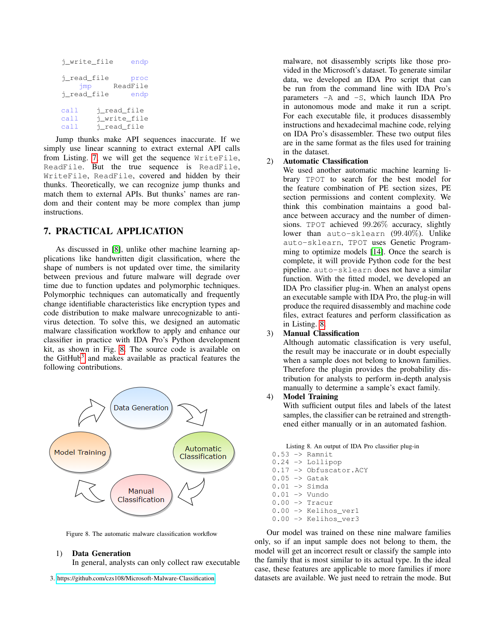| i write file | endp         |
|--------------|--------------|
| i read file  | proc         |
| imp          | ReadFile     |
| i_read_file  | endp         |
| call         | i_read_file  |
| call         | i_write_file |
| call         | i read file  |

Jump thunks make API sequences inaccurate. If we simply use linear scanning to extract external API calls from Listing. [7,](#page-6-3) we will get the sequence WriteFile, ReadFile. But the true sequence is ReadFile, WriteFile, ReadFile, covered and hidden by their thunks. Theoretically, we can recognize jump thunks and match them to external APIs. But thunks' names are random and their content may be more complex than jump instructions.

# 7. PRACTICAL APPLICATION

As discussed in [\[8\]](#page-8-7), unlike other machine learning applications like handwritten digit classification, where the shape of numbers is not updated over time, the similarity between previous and future malware will degrade over time due to function updates and polymorphic techniques. Polymorphic techniques can automatically and frequently change identifiable characteristics like encryption types and code distribution to make malware unrecognizable to antivirus detection. To solve this, we designed an automatic malware classification workflow to apply and enhance our classifier in practice with IDA Pro's Python development kit, as shown in Fig. [8.](#page-7-0) The source code is available on the GitHub<sup>[3](#page-7-1)</sup> and makes available as practical features the following contributions.



<span id="page-7-0"></span>Figure 8. The automatic malware classification workflow

### 1) Data Generation

In general, analysts can only collect raw executable

<span id="page-7-1"></span>3.<https://github.com/czs108/Microsoft-Malware-Classification>

malware, not disassembly scripts like those provided in the Microsoft's dataset. To generate similar data, we developed an IDA Pro script that can be run from the command line with IDA Pro's parameters -A and -S, which launch IDA Pro in autonomous mode and make it run a script. For each executable file, it produces disassembly instructions and hexadecimal machine code, relying on IDA Pro's disassembler. These two output files are in the same format as the files used for training in the dataset.

# 2) Automatic Classification

We used another automatic machine learning library TPOT to search for the best model for the feature combination of PE section sizes, PE section permissions and content complexity. We think this combination maintains a good balance between accuracy and the number of dimensions. TPOT achieved 99.26% accuracy, slightly lower than auto-sklearn (99.40%). Unlike auto-sklearn, TPOT uses Genetic Programming to optimize models [\[14\]](#page-8-13). Once the search is complete, it will provide Python code for the best pipeline. auto-sklearn does not have a similar function. With the fitted model, we developed an IDA Pro classifier plug-in. When an analyst opens an executable sample with IDA Pro, the plug-in will produce the required disassembly and machine code files, extract features and perform classification as in Listing. [8.](#page-7-2)

#### 3) Manual Classification

Although automatic classification is very useful, the result may be inaccurate or in doubt especially when a sample does not belong to known families. Therefore the plugin provides the probability distribution for analysts to perform in-depth analysis manually to determine a sample's exact family.

## 4) Model Training

With sufficient output files and labels of the latest samples, the classifier can be retrained and strengthened either manually or in an automated fashion.

Listing 8. An output of IDA Pro classifier plug-in

<span id="page-7-2"></span> $0.53$   $\rightarrow$  Ramnit 0.24 -> Lollipop 0.17 -> Obfuscator.ACY  $0.05$   $\rightarrow$  Gatak  $0.01$  -> Simda 0.01 -> Vundo  $0.00 \rightarrow$  Tracur 0.00 -> Kelihos\_ver1 0.00 -> Kelihos\_ver3

Our model was trained on these nine malware families only, so if an input sample does not belong to them, the model will get an incorrect result or classify the sample into the family that is most similar to its actual type. In the ideal case, these features are applicable to more families if more datasets are available. We just need to retrain the mode. But